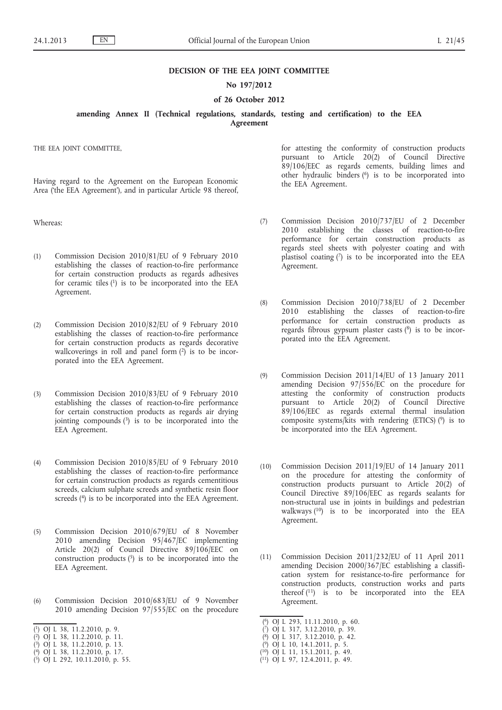#### **DECISION OF THE EEA JOINT COMMITTEE**

#### **No 197/2012**

### **of 26 October 2012**

**amending Annex II (Technical regulations, standards, testing and certification) to the EEA Agreement**

THE EEA JOINT COMMITTEE,

Having regard to the Agreement on the European Economic Area ('the EEA Agreement'), and in particular Article 98 thereof,

Whereas:

- (1) Commission Decision 2010/81/EU of 9 February 2010 establishing the classes of reaction-to-fire performance for certain construction products as regards adhesives for ceramic tiles (1) is to be incorporated into the EEA Agreement.
- (2) Commission Decision 2010/82/EU of 9 February 2010 establishing the classes of reaction-to-fire performance for certain construction products as regards decorative wallcoverings in roll and panel form  $(2)$  is to be incorporated into the EEA Agreement.
- (3) Commission Decision 2010/83/EU of 9 February 2010 establishing the classes of reaction-to-fire performance for certain construction products as regards air drying jointing compounds (3) is to be incorporated into the EEA Agreement.
- (4) Commission Decision 2010/85/EU of 9 February 2010 establishing the classes of reaction-to-fire performance for certain construction products as regards cementitious screeds, calcium sulphate screeds and synthetic resin floor screeds (4) is to be incorporated into the EEA Agreement.
- (5) Commission Decision 2010/679/EU of 8 November 2010 amending Decision 95/467/EC implementing Article 20(2) of Council Directive 89/106/EEC on construction products  $(5)$  is to be incorporated into the EEA Agreement.
- (6) Commission Decision 2010/683/EU of 9 November 2010 amending Decision 97/555/EC on the procedure
- ( 1) OJ L 38, 11.2.2010, p. 9.
- ( 2) OJ L 38, 11.2.2010, p. 11.
- ( 3) OJ L 38, 11.2.2010, p. 13.
- ( 4) OJ L 38, 11.2.2010, p. 17.
- ( 5) OJ L 292, 10.11.2010, p. 55.

for attesting the conformity of construction products pursuant to Article 20(2) of Council Directive 89/106/EEC as regards cements, building limes and other hydraulic binders (6) is to be incorporated into the EEA Agreement.

- (7) Commission Decision 2010/737/EU of 2 December 2010 establishing the classes of reaction-to-fire performance for certain construction products as regards steel sheets with polyester coating and with plastisol coating  $(7)$  is to be incorporated into the EEA Agreement.
- (8) Commission Decision 2010/738/EU of 2 December 2010 establishing the classes of reaction-to-fire performance for certain construction products as regards fibrous gypsum plaster casts (8) is to be incorporated into the EEA Agreement.
- (9) Commission Decision 2011/14/EU of 13 January 2011 amending Decision 97/556/EC on the procedure for attesting the conformity of construction products pursuant to Article 20(2) of Council Directive 89/106/EEC as regards external thermal insulation composite systems/kits with rendering (ETICS) (9) is to be incorporated into the EEA Agreement.
- (10) Commission Decision 2011/19/EU of 14 January 2011 on the procedure for attesting the conformity of construction products pursuant to Article 20(2) of Council Directive 89/106/EEC as regards sealants for non-structural use in joints in buildings and pedestrian walkways  $(10)$  is to be incorporated into the EEA Agreement.
- (11) Commission Decision 2011/232/EU of 11 April 2011 amending Decision 2000/367/EC establishing a classification system for resistance-to-fire performance for construction products, construction works and parts thereof  $(11)$  is to be incorporated into the EEA Agreement.
- ( 6) OJ L 293, 11.11.2010, p. 60.

- ( 8) OJ L 317, 3.12.2010, p. 42.
- ( 9) OJ L 10, 14.1.2011, p. 5.
- ( 10) OJ L 11, 15.1.2011, p. 49.
- ( 11) OJ L 97, 12.4.2011, p. 49.

<sup>(</sup> 7) OJ L 317, 3.12.2010, p. 39.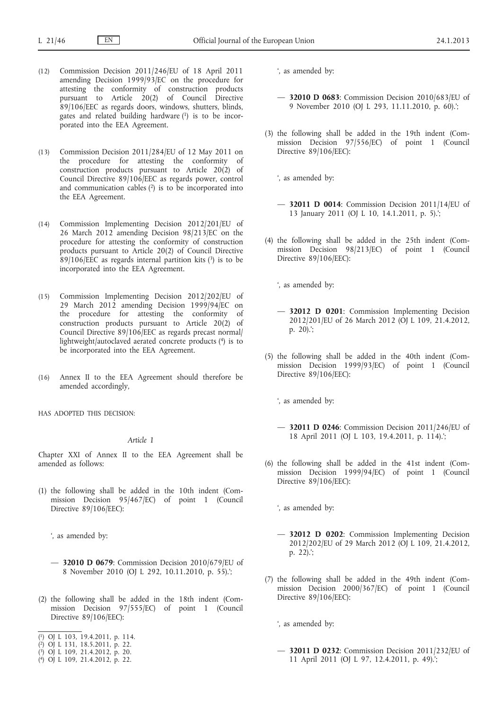- (12) Commission Decision 2011/246/EU of 18 April 2011 amending Decision 1999/93/EC on the procedure for attesting the conformity of construction products pursuant to Article 20(2) of Council Directive 89/106/EEC as regards doors, windows, shutters, blinds, gates and related building hardware (1) is to be incorporated into the EEA Agreement.
- (13) Commission Decision 2011/284/EU of 12 May 2011 on the procedure for attesting the conformity of construction products pursuant to Article 20(2) of Council Directive 89/106/EEC as regards power, control and communication cables  $(2)$  is to be incorporated into the EEA Agreement.
- (14) Commission Implementing Decision 2012/201/EU of 26 March 2012 amending Decision 98/213/EC on the procedure for attesting the conformity of construction products pursuant to Article 20(2) of Council Directive 89/106/EEC as regards internal partition kits  $(3)$  is to be incorporated into the EEA Agreement.
- (15) Commission Implementing Decision 2012/202/EU of 29 March 2012 amending Decision 1999/94/EC on the procedure for attesting the conformity of construction products pursuant to Article 20(2) of Council Directive 89/106/EEC as regards precast normal/ lightweight/autoclaved aerated concrete products (4) is to be incorporated into the EEA Agreement.
- (16) Annex II to the EEA Agreement should therefore be amended accordingly,

HAS ADOPTED THIS DECISION:

#### *Article 1*

Chapter XXI of Annex II to the EEA Agreement shall be amended as follows:

(1) the following shall be added in the 10th indent (Commission Decision 95/467/EC) of point 1 (Council Directive 89/106/EEC):

', as amended by:

- — **32010 D 0679**: Commission Decision 2010/679/EU of 8 November 2010 (OJ L 292, 10.11.2010, p. 55).';
- (2) the following shall be added in the 18th indent (Commission Decision 97/555/EC) of point 1 (Council Directive 89/106/EEC):
- ( 1) OJ L 103, 19.4.2011, p. 114.
- ( 2) OJ L 131, 18.5.2011, p. 22.
- ( 3) OJ L 109, 21.4.2012, p. 20.
- ( 4) OJ L 109, 21.4.2012, p. 22.

', as amended by:

- — **32010 D 0683**: Commission Decision 2010/683/EU of 9 November 2010 (OJ L 293, 11.11.2010, p. 60).';
- (3) the following shall be added in the 19th indent (Commission Decision 97/556/EC) of point 1 (Council Directive 89/106/EEC):

', as amended by:

- — **32011 D 0014**: Commission Decision 2011/14/EU of 13 January 2011 (OJ L 10, 14.1.2011, p. 5).';
- (4) the following shall be added in the 25th indent (Commission Decision 98/213/EC) of point 1 (Council Directive 89/106/EEC):

', as amended by:

- — **32012 D 0201**: Commission Implementing Decision 2012/201/EU of 26 March 2012 (OJ L 109, 21.4.2012, p. 20).';
- (5) the following shall be added in the 40th indent (Commission Decision 1999/93/EC) of point 1 (Council Directive 89/106/EEC):

', as amended by:

- — **32011 D 0246**: Commission Decision 2011/246/EU of 18 April 2011 (OJ L 103, 19.4.2011, p. 114).';
- (6) the following shall be added in the 41st indent (Commission Decision 1999/94/EC) of point 1 (Council Directive 89/106/EEC):

', as amended by:

- — **32012 D 0202**: Commission Implementing Decision 2012/202/EU of 29 March 2012 (OJ L 109, 21.4.2012, p. 22).';
- (7) the following shall be added in the 49th indent (Commission Decision 2000/367/EC) of point 1 (Council Directive 89/106/EEC):

', as amended by:

— **32011 D 0232**: Commission Decision 2011/232/EU of 11 April 2011 (OJ L 97, 12.4.2011, p. 49).';